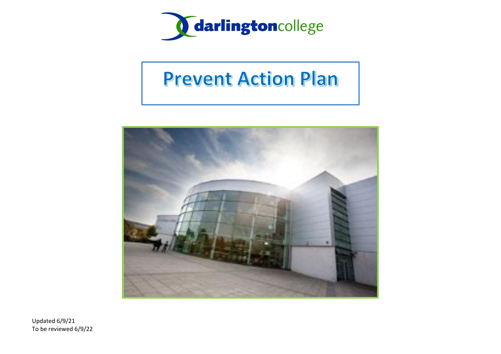

# **Prevent Action Plan**



Updated 6/9/21 To be reviewed 6/9/22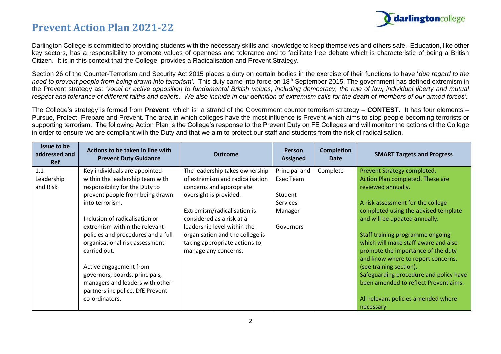

Darlington College is committed to providing students with the necessary skills and knowledge to keep themselves and others safe. Education, like other key sectors, has a responsibility to promote values of openness and tolerance and to facilitate free debate which is characteristic of being a British Citizen. It is in this context that the College provides a Radicalisation and Prevent Strategy.

Section 26 of the Counter-Terrorism and Security Act 2015 places a duty on certain bodies in the exercise of their functions to have '*due regard to the*  need to prevent people from being drawn into terrorism'. This duty came into force on 18<sup>th</sup> September 2015. The government has defined extremism in the Prevent strategy as: *'vocal or active opposition to fundamental British values, including democracy, the rule of law, individual liberty and mutual*  respect and tolerance of different faiths and beliefs. We also include in our definition of extremism calls for the death of members of our armed forces'.

The College's strategy is formed from **Prevent** which is a strand of the Government counter terrorism strategy – **CONTEST**. It has four elements – Pursue, Protect, Prepare and Prevent. The area in which colleges have the most influence is Prevent which aims to stop people becoming terrorists or supporting terrorism. The following Action Plan is the College's response to the Prevent Duty on FE Colleges and will monitor the actions of the College in order to ensure we are compliant with the Duty and that we aim to protect our staff and students from the risk of radicalisation.

| Issue to be<br>addressed and<br><b>Ref</b> | Actions to be taken in line with<br><b>Prevent Duty Guidance</b> | <b>Outcome</b>                  | <b>Person</b><br><b>Assigned</b> | <b>Completion</b><br><b>Date</b> | <b>SMART Targets and Progress</b>      |
|--------------------------------------------|------------------------------------------------------------------|---------------------------------|----------------------------------|----------------------------------|----------------------------------------|
| 1.1                                        | Key individuals are appointed                                    | The leadership takes ownership  | Principal and                    | Complete                         | Prevent Strategy completed.            |
| Leadership                                 | within the leadership team with                                  | of extremism and radicalisation | Exec Team                        |                                  | Action Plan completed. These are       |
| and Risk                                   | responsibility for the Duty to                                   | concerns and appropriate        |                                  |                                  | reviewed annually.                     |
|                                            | prevent people from being drawn                                  | oversight is provided.          | Student                          |                                  |                                        |
|                                            | into terrorism.                                                  |                                 | <b>Services</b>                  |                                  | A risk assessment for the college      |
|                                            |                                                                  | Extremism/radicalisation is     | Manager                          |                                  | completed using the advised template   |
|                                            | Inclusion of radicalisation or                                   | considered as a risk at a       |                                  |                                  | and will be updated annually.          |
|                                            | extremism within the relevant                                    | leadership level within the     | Governors                        |                                  |                                        |
|                                            | policies and procedures and a full                               | organisation and the college is |                                  |                                  | Staff training programme ongoing       |
|                                            | organisational risk assessment                                   | taking appropriate actions to   |                                  |                                  | which will make staff aware and also   |
|                                            | carried out.                                                     | manage any concerns.            |                                  |                                  | promote the importance of the duty     |
|                                            |                                                                  |                                 |                                  |                                  | and know where to report concerns.     |
|                                            | Active engagement from                                           |                                 |                                  |                                  | (see training section).                |
|                                            | governors, boards, principals,                                   |                                 |                                  |                                  | Safeguarding procedure and policy have |
|                                            | managers and leaders with other                                  |                                 |                                  |                                  | been amended to reflect Prevent aims.  |
|                                            | partners inc police, DfE Prevent                                 |                                 |                                  |                                  |                                        |
|                                            | co-ordinators.                                                   |                                 |                                  |                                  | All relevant policies amended where    |
|                                            |                                                                  |                                 |                                  |                                  | necessary.                             |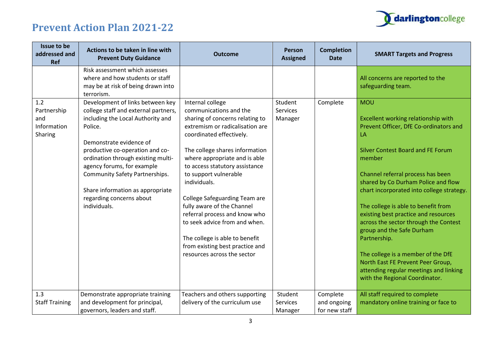

| Issue to be<br>addressed and<br>Ref                 | Actions to be taken in line with<br><b>Prevent Duty Guidance</b>                                                                                                                                                                                                                                                                                                                    | <b>Outcome</b>                                                                                                                                                                                                                                                                                                                                                                                                                                                                                                                         | <b>Person</b><br><b>Assigned</b> | <b>Completion</b><br><b>Date</b>         | <b>SMART Targets and Progress</b>                                                                                                                                                                                                                                                                                                                                                                                                                                                                                                                                                                            |
|-----------------------------------------------------|-------------------------------------------------------------------------------------------------------------------------------------------------------------------------------------------------------------------------------------------------------------------------------------------------------------------------------------------------------------------------------------|----------------------------------------------------------------------------------------------------------------------------------------------------------------------------------------------------------------------------------------------------------------------------------------------------------------------------------------------------------------------------------------------------------------------------------------------------------------------------------------------------------------------------------------|----------------------------------|------------------------------------------|--------------------------------------------------------------------------------------------------------------------------------------------------------------------------------------------------------------------------------------------------------------------------------------------------------------------------------------------------------------------------------------------------------------------------------------------------------------------------------------------------------------------------------------------------------------------------------------------------------------|
|                                                     | Risk assessment which assesses<br>where and how students or staff<br>may be at risk of being drawn into<br>terrorism.                                                                                                                                                                                                                                                               |                                                                                                                                                                                                                                                                                                                                                                                                                                                                                                                                        |                                  |                                          | All concerns are reported to the<br>safeguarding team.                                                                                                                                                                                                                                                                                                                                                                                                                                                                                                                                                       |
| 1.2<br>Partnership<br>and<br>Information<br>Sharing | Development of links between key<br>college staff and external partners,<br>including the Local Authority and<br>Police.<br>Demonstrate evidence of<br>productive co-operation and co-<br>ordination through existing multi-<br>agency forums, for example<br><b>Community Safety Partnerships.</b><br>Share information as appropriate<br>regarding concerns about<br>individuals. | Internal college<br>communications and the<br>sharing of concerns relating to<br>extremism or radicalisation are<br>coordinated effectively.<br>The college shares information<br>where appropriate and is able<br>to access statutory assistance<br>to support vulnerable<br>individuals.<br><b>College Safeguarding Team are</b><br>fully aware of the Channel<br>referral process and know who<br>to seek advice from and when.<br>The college is able to benefit<br>from existing best practice and<br>resources across the sector | Student<br>Services<br>Manager   | Complete                                 | <b>MOU</b><br>Excellent working relationship with<br>Prevent Officer, DfE Co-ordinators and<br>LA<br><b>Silver Contest Board and FE Forum</b><br>member<br>Channel referral process has been<br>shared by Co Durham Police and flow<br>chart incorporated into college strategy.<br>The college is able to benefit from<br>existing best practice and resources<br>across the sector through the Contest<br>group and the Safe Durham<br>Partnership.<br>The college is a member of the DfE<br>North East FE Prevent Peer Group,<br>attending regular meetings and linking<br>with the Regional Coordinator. |
| 1.3<br><b>Staff Training</b>                        | Demonstrate appropriate training<br>and development for principal,<br>governors, leaders and staff.                                                                                                                                                                                                                                                                                 | Teachers and others supporting<br>delivery of the curriculum use                                                                                                                                                                                                                                                                                                                                                                                                                                                                       | Student<br>Services<br>Manager   | Complete<br>and ongoing<br>for new staff | All staff required to complete<br>mandatory online training or face to                                                                                                                                                                                                                                                                                                                                                                                                                                                                                                                                       |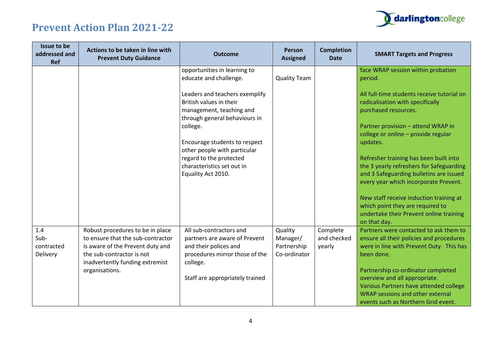

| Issue to be<br>addressed and<br>Ref   | Actions to be taken in line with<br><b>Prevent Duty Guidance</b>                                                                                                          | <b>Outcome</b>                                                                                                                  | Person<br><b>Assigned</b>                          | <b>Completion</b><br><b>Date</b>  | <b>SMART Targets and Progress</b>                                                                                                                                                               |
|---------------------------------------|---------------------------------------------------------------------------------------------------------------------------------------------------------------------------|---------------------------------------------------------------------------------------------------------------------------------|----------------------------------------------------|-----------------------------------|-------------------------------------------------------------------------------------------------------------------------------------------------------------------------------------------------|
|                                       |                                                                                                                                                                           | opportunities in learning to<br>educate and challenge.                                                                          | <b>Quality Team</b>                                |                                   | face WRAP session within probation<br>period.                                                                                                                                                   |
|                                       |                                                                                                                                                                           | Leaders and teachers exemplify<br>British values in their<br>management, teaching and<br>through general behaviours in          |                                                    |                                   | All full-time students receive tutorial on<br>radicalisation with specifically<br>purchased resources.                                                                                          |
|                                       |                                                                                                                                                                           | college.<br>Encourage students to respect<br>other people with particular                                                       |                                                    |                                   | Partner provision - attend WRAP in<br>college or online - provide regular<br>updates.                                                                                                           |
|                                       |                                                                                                                                                                           | regard to the protected<br>characteristics set out in<br>Equality Act 2010.                                                     |                                                    |                                   | Refresher training has been built into<br>the 3 yearly refreshers for Safeguarding<br>and 3 Safeguarding bulletins are issued<br>every year which incorporate Prevent.                          |
|                                       |                                                                                                                                                                           |                                                                                                                                 |                                                    |                                   | New staff receive induction training at<br>which point they are required to<br>undertake their Prevent online training<br>on that day.                                                          |
| 1.4<br>Sub-<br>contracted<br>Delivery | Robust procedures to be in place<br>to ensure that the sub-contractor<br>is aware of the Prevent duty and<br>the sub-contractor is not<br>inadvertently funding extremist | All sub-contractors and<br>partners are aware of Prevent<br>and their polices and<br>procedures mirror those of the<br>college. | Quality<br>Manager/<br>Partnership<br>Co-ordinator | Complete<br>and checked<br>yearly | Partners were contacted to ask them to<br>ensure all their policies and procedures<br>were in line with Prevent Duty. This has<br>been done.                                                    |
|                                       | organisations.                                                                                                                                                            | Staff are appropriately trained                                                                                                 |                                                    |                                   | Partnership co-ordinator completed<br>overview and all appropriate.<br>Various Partners have attended college<br><b>WRAP sessions and other external</b><br>events such as Northern Grid event. |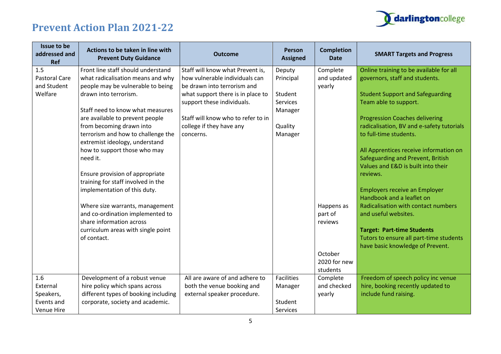## darlingtoncollege

| Issue to be<br>addressed and<br><b>Ref</b> | Actions to be taken in line with<br><b>Prevent Duty Guidance</b> | <b>Outcome</b>                     | <b>Person</b><br><b>Assigned</b> | <b>Completion</b><br><b>Date</b> | <b>SMART Targets and Progress</b>         |
|--------------------------------------------|------------------------------------------------------------------|------------------------------------|----------------------------------|----------------------------------|-------------------------------------------|
| 1.5                                        | Front line staff should understand                               | Staff will know what Prevent is,   | Deputy                           | Complete                         | Online training to be available for all   |
| <b>Pastoral Care</b>                       | what radicalisation means and why                                | how vulnerable individuals can     | Principal                        | and updated                      | governors, staff and students.            |
| and Student                                | people may be vulnerable to being                                | be drawn into terrorism and        |                                  | yearly                           |                                           |
| Welfare                                    | drawn into terrorism.                                            | what support there is in place to  | Student                          |                                  | <b>Student Support and Safeguarding</b>   |
|                                            |                                                                  | support these individuals.         | Services                         |                                  | Team able to support.                     |
|                                            | Staff need to know what measures                                 |                                    | Manager                          |                                  |                                           |
|                                            | are available to prevent people                                  | Staff will know who to refer to in |                                  |                                  | <b>Progression Coaches delivering</b>     |
|                                            | from becoming drawn into                                         | college if they have any           | Quality                          |                                  | radicalisation, BV and e-safety tutorials |
|                                            | terrorism and how to challenge the                               | concerns.                          | Manager                          |                                  | to full-time students.                    |
|                                            | extremist ideology, understand                                   |                                    |                                  |                                  |                                           |
|                                            | how to support those who may                                     |                                    |                                  |                                  | All Apprentices receive information on    |
|                                            | need it.                                                         |                                    |                                  |                                  | Safeguarding and Prevent, British         |
|                                            |                                                                  |                                    |                                  |                                  | Values and E&D is built into their        |
|                                            | Ensure provision of appropriate                                  |                                    |                                  |                                  | reviews.                                  |
|                                            | training for staff involved in the                               |                                    |                                  |                                  |                                           |
|                                            | implementation of this duty.                                     |                                    |                                  |                                  | <b>Employers receive an Employer</b>      |
|                                            |                                                                  |                                    |                                  |                                  | Handbook and a leaflet on                 |
|                                            | Where size warrants, management                                  |                                    |                                  | Happens as                       | Radicalisation with contact numbers       |
|                                            | and co-ordination implemented to                                 |                                    |                                  | part of                          | and useful websites.                      |
|                                            | share information across                                         |                                    |                                  | reviews                          |                                           |
|                                            | curriculum areas with single point                               |                                    |                                  |                                  | <b>Target: Part-time Students</b>         |
|                                            | of contact.                                                      |                                    |                                  |                                  | Tutors to ensure all part-time students   |
|                                            |                                                                  |                                    |                                  |                                  | have basic knowledge of Prevent.          |
|                                            |                                                                  |                                    |                                  | October                          |                                           |
|                                            |                                                                  |                                    |                                  | 2020 for new                     |                                           |
|                                            |                                                                  |                                    |                                  | students                         |                                           |
| 1.6                                        | Development of a robust venue                                    | All are aware of and adhere to     | <b>Facilities</b>                | Complete                         | Freedom of speech policy inc venue        |
| External                                   | hire policy which spans across                                   | both the venue booking and         | Manager                          | and checked                      | hire, booking recently updated to         |
| Speakers,                                  | different types of booking including                             | external speaker procedure.        |                                  | yearly                           | include fund raising.                     |
| Events and                                 | corporate, society and academic.                                 |                                    | Student                          |                                  |                                           |
| <b>Venue Hire</b>                          |                                                                  |                                    | Services                         |                                  |                                           |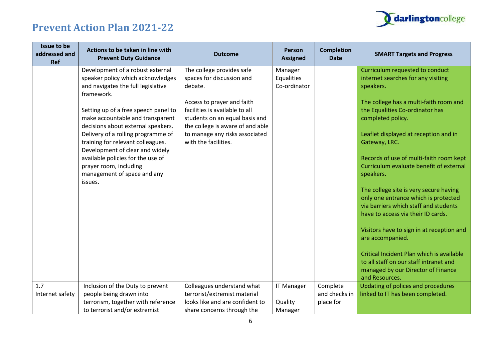

| Issue to be<br>addressed and<br><b>Ref</b> | Actions to be taken in line with<br><b>Prevent Duty Guidance</b>                                                                                                                                                                                                                                                                                          | <b>Outcome</b>                                                                                                                                                                                                                                                    | <b>Person</b><br><b>Assigned</b>        | <b>Completion</b><br><b>Date</b>       | <b>SMART Targets and Progress</b>                                                                                                                                                                                                                                                                                                                                              |
|--------------------------------------------|-----------------------------------------------------------------------------------------------------------------------------------------------------------------------------------------------------------------------------------------------------------------------------------------------------------------------------------------------------------|-------------------------------------------------------------------------------------------------------------------------------------------------------------------------------------------------------------------------------------------------------------------|-----------------------------------------|----------------------------------------|--------------------------------------------------------------------------------------------------------------------------------------------------------------------------------------------------------------------------------------------------------------------------------------------------------------------------------------------------------------------------------|
|                                            | Development of a robust external<br>speaker policy which acknowledges<br>and navigates the full legislative<br>framework.<br>Setting up of a free speech panel to<br>make accountable and transparent<br>decisions about external speakers.<br>Delivery of a rolling programme of<br>training for relevant colleagues.<br>Development of clear and widely | The college provides safe<br>spaces for discussion and<br>debate.<br>Access to prayer and faith<br>facilities is available to all<br>students on an equal basis and<br>the college is aware of and able<br>to manage any risks associated<br>with the facilities. | Manager<br>Equalities<br>Co-ordinator   |                                        | Curriculum requested to conduct<br>internet searches for any visiting<br>speakers.<br>The college has a multi-faith room and<br>the Equalities Co-ordinator has<br>completed policy.<br>Leaflet displayed at reception and in<br>Gateway, LRC.                                                                                                                                 |
|                                            | available policies for the use of<br>prayer room, including<br>management of space and any<br>issues.                                                                                                                                                                                                                                                     |                                                                                                                                                                                                                                                                   |                                         |                                        | Records of use of multi-faith room kept<br>Curriculum evaluate benefit of external<br>speakers.<br>The college site is very secure having<br>only one entrance which is protected<br>via barriers which staff and students<br>have to access via their ID cards.<br>Visitors have to sign in at reception and<br>are accompanied.<br>Critical Incident Plan which is available |
|                                            |                                                                                                                                                                                                                                                                                                                                                           |                                                                                                                                                                                                                                                                   |                                         |                                        | to all staff on our staff intranet and<br>managed by our Director of Finance<br>and Resources.                                                                                                                                                                                                                                                                                 |
| 1.7<br>Internet safety                     | Inclusion of the Duty to prevent<br>people being drawn into<br>terrorism, together with reference<br>to terrorist and/or extremist                                                                                                                                                                                                                        | Colleagues understand what<br>terrorist/extremist material<br>looks like and are confident to<br>share concerns through the                                                                                                                                       | <b>IT Manager</b><br>Quality<br>Manager | Complete<br>and checks in<br>place for | Updating of polices and procedures<br>linked to IT has been completed.                                                                                                                                                                                                                                                                                                         |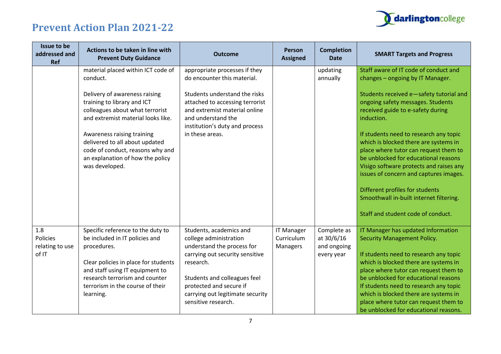

| Actions to be taken in line with<br><b>Prevent Duty Guidance</b>                                                                                                                                                                                 | <b>Outcome</b>                                                                                                                                                                                                                                        | Person<br><b>Assigned</b>                   | <b>Completion</b><br><b>Date</b>                       | <b>SMART Targets and Progress</b>                                                                                                                                                                                                                                                                                                                                                                                 |
|--------------------------------------------------------------------------------------------------------------------------------------------------------------------------------------------------------------------------------------------------|-------------------------------------------------------------------------------------------------------------------------------------------------------------------------------------------------------------------------------------------------------|---------------------------------------------|--------------------------------------------------------|-------------------------------------------------------------------------------------------------------------------------------------------------------------------------------------------------------------------------------------------------------------------------------------------------------------------------------------------------------------------------------------------------------------------|
| material placed within ICT code of<br>conduct.                                                                                                                                                                                                   | appropriate processes if they<br>do encounter this material.                                                                                                                                                                                          |                                             | updating<br>annually                                   | Staff aware of IT code of conduct and<br>changes - ongoing by IT Manager.                                                                                                                                                                                                                                                                                                                                         |
| Delivery of awareness raising<br>training to library and ICT<br>colleagues about what terrorist<br>and extremist material looks like.                                                                                                            | Students understand the risks<br>attached to accessing terrorist<br>and extremist material online<br>and understand the                                                                                                                               |                                             |                                                        | Students received e-safety tutorial and<br>ongoing safety messages. Students<br>received guide to e-safety during<br>induction.                                                                                                                                                                                                                                                                                   |
| Awareness raising training<br>delivered to all about updated<br>code of conduct, reasons why and<br>an explanation of how the policy<br>was developed.                                                                                           | in these areas.                                                                                                                                                                                                                                       |                                             |                                                        | If students need to research any topic<br>which is blocked there are systems in<br>place where tutor can request them to<br>be unblocked for educational reasons<br>Visigo software protects and raises any<br>issues of concern and captures images.                                                                                                                                                             |
|                                                                                                                                                                                                                                                  |                                                                                                                                                                                                                                                       |                                             |                                                        | Different profiles for students<br>Smoothwall in-built internet filtering.<br>Staff and student code of conduct.                                                                                                                                                                                                                                                                                                  |
| Specific reference to the duty to<br>be included in IT policies and<br>procedures.<br>Clear policies in place for students<br>and staff using IT equipment to<br>research terrorism and counter<br>terrorism in the course of their<br>learning. | Students, academics and<br>college administration<br>understand the process for<br>carrying out security sensitive<br>research.<br>Students and colleagues feel<br>protected and secure if<br>carrying out legitimate security<br>sensitive research. | <b>IT Manager</b><br>Curriculum<br>Managers | Complete as<br>at 30/6/16<br>and ongoing<br>every year | IT Manager has updated Information<br><b>Security Management Policy.</b><br>If students need to research any topic<br>which is blocked there are systems in<br>place where tutor can request them to<br>be unblocked for educational reasons<br>If students need to research any topic<br>which is blocked there are systems in<br>place where tutor can request them to<br>be unblocked for educational reasons. |
|                                                                                                                                                                                                                                                  |                                                                                                                                                                                                                                                       | institution's duty and process              |                                                        |                                                                                                                                                                                                                                                                                                                                                                                                                   |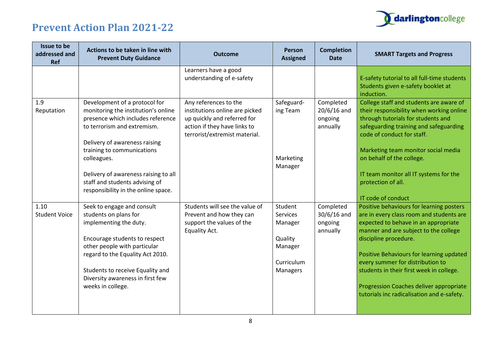

| Issue to be<br>addressed and<br><b>Ref</b> | Actions to be taken in line with<br><b>Prevent Duty Guidance</b>                                                                                                                                                                                                                                                                        | <b>Outcome</b>                                                                                                                                          | Person<br><b>Assigned</b>                                                      | <b>Completion</b><br><b>Date</b>                  | <b>SMART Targets and Progress</b>                                                                                                                                                                                                                                                                                                                                                                                   |
|--------------------------------------------|-----------------------------------------------------------------------------------------------------------------------------------------------------------------------------------------------------------------------------------------------------------------------------------------------------------------------------------------|---------------------------------------------------------------------------------------------------------------------------------------------------------|--------------------------------------------------------------------------------|---------------------------------------------------|---------------------------------------------------------------------------------------------------------------------------------------------------------------------------------------------------------------------------------------------------------------------------------------------------------------------------------------------------------------------------------------------------------------------|
|                                            |                                                                                                                                                                                                                                                                                                                                         | Learners have a good<br>understanding of e-safety                                                                                                       |                                                                                |                                                   | E-safety tutorial to all full-time students<br>Students given e-safety booklet at<br>induction.                                                                                                                                                                                                                                                                                                                     |
| 1.9<br>Reputation                          | Development of a protocol for<br>monitoring the institution's online<br>presence which includes reference<br>to terrorism and extremism.<br>Delivery of awareness raising<br>training to communications<br>colleagues.<br>Delivery of awareness raising to all<br>staff and students advising of<br>responsibility in the online space. | Any references to the<br>institutions online are picked<br>up quickly and referred for<br>action if they have links to<br>terrorist/extremist material. | Safeguard-<br>ing Team<br>Marketing<br>Manager                                 | Completed<br>$20/6/16$ and<br>ongoing<br>annually | College staff and students are aware of<br>their responsibility when working online<br>through tutorials for students and<br>safeguarding training and safeguarding<br>code of conduct for staff.<br>Marketing team monitor social media<br>on behalf of the college.<br>IT team monitor all IT systems for the<br>protection of all.<br>IT code of conduct                                                         |
| 1.10<br><b>Student Voice</b>               | Seek to engage and consult<br>students on plans for<br>implementing the duty.<br>Encourage students to respect<br>other people with particular<br>regard to the Equality Act 2010.<br>Students to receive Equality and<br>Diversity awareness in first few<br>weeks in college.                                                         | Students will see the value of<br>Prevent and how they can<br>support the values of the<br>Equality Act.                                                | Student<br>Services<br>Manager<br>Quality<br>Manager<br>Curriculum<br>Managers | Completed<br>$30/6/16$ and<br>ongoing<br>annually | Positive behaviours for learning posters<br>are in every class room and students are<br>expected to behave in an appropriate<br>manner and are subject to the college<br>discipline procedure.<br>Positive Behaviours for learning updated<br>every summer for distribution to<br>students in their first week in college.<br>Progression Coaches deliver appropriate<br>tutorials inc radicalisation and e-safety. |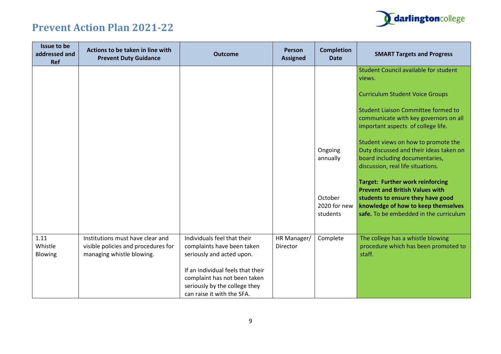

| Issue to be<br>addressed and<br><b>Ref</b> | Actions to be taken in line with<br><b>Prevent Duty Guidance</b>                                     | <b>Outcome</b>                                                                                                                                                                                                             | <b>Person</b><br><b>Assigned</b> | <b>Completion</b><br><b>Date</b>    | <b>SMART Targets and Progress</b>                                                                                                                                                                       |
|--------------------------------------------|------------------------------------------------------------------------------------------------------|----------------------------------------------------------------------------------------------------------------------------------------------------------------------------------------------------------------------------|----------------------------------|-------------------------------------|---------------------------------------------------------------------------------------------------------------------------------------------------------------------------------------------------------|
|                                            |                                                                                                      |                                                                                                                                                                                                                            |                                  |                                     | <b>Student Council available for student</b><br>views.                                                                                                                                                  |
|                                            |                                                                                                      |                                                                                                                                                                                                                            |                                  |                                     | <b>Curriculum Student Voice Groups</b>                                                                                                                                                                  |
|                                            |                                                                                                      |                                                                                                                                                                                                                            |                                  |                                     | <b>Student Liaison Committee formed to</b><br>communicate with key governors on all<br>important aspects of college life.                                                                               |
|                                            |                                                                                                      |                                                                                                                                                                                                                            |                                  | Ongoing<br>annually                 | Student views on how to promote the<br>Duty discussed and their ideas taken on<br>board including documentaries,<br>discussion, real life situations.                                                   |
|                                            |                                                                                                      |                                                                                                                                                                                                                            |                                  | October<br>2020 for new<br>students | <b>Target: Further work reinforcing</b><br><b>Prevent and British Values with</b><br>students to ensure they have good<br>knowledge of how to keep themselves<br>safe. To be embedded in the curriculum |
| 1.11<br>Whistle<br>Blowing                 | Institutions must have clear and<br>visible policies and procedures for<br>managing whistle blowing. | Individuals feel that their<br>complaints have been taken<br>seriously and acted upon.<br>If an individual feels that their<br>complaint has not been taken<br>seriously by the college they<br>can raise it with the SFA. | HR Manager/<br><b>Director</b>   | Complete                            | The college has a whistle blowing<br>procedure which has been promoted to<br>staff.                                                                                                                     |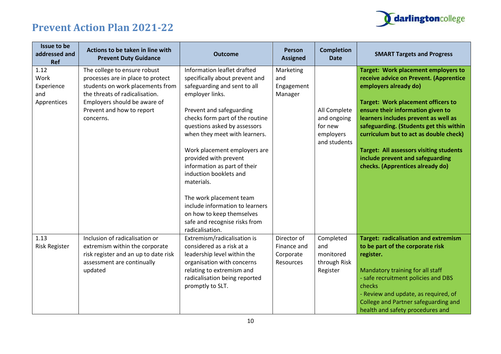

| Issue to be<br>addressed and<br><b>Ref</b>       | Actions to be taken in line with<br><b>Prevent Duty Guidance</b>                                                                                                                                                  | <b>Outcome</b>                                                                                                                                                                                                                                                                                                                                                                                                                                                                                                                   | Person<br><b>Assigned</b>                            | <b>Completion</b><br><b>Date</b>                                    | <b>SMART Targets and Progress</b>                                                                                                                                                                                                                                                                                                                                                                                                                      |
|--------------------------------------------------|-------------------------------------------------------------------------------------------------------------------------------------------------------------------------------------------------------------------|----------------------------------------------------------------------------------------------------------------------------------------------------------------------------------------------------------------------------------------------------------------------------------------------------------------------------------------------------------------------------------------------------------------------------------------------------------------------------------------------------------------------------------|------------------------------------------------------|---------------------------------------------------------------------|--------------------------------------------------------------------------------------------------------------------------------------------------------------------------------------------------------------------------------------------------------------------------------------------------------------------------------------------------------------------------------------------------------------------------------------------------------|
| 1.12<br>Work<br>Experience<br>and<br>Apprentices | The college to ensure robust<br>processes are in place to protect<br>students on work placements from<br>the threats of radicalisation.<br>Employers should be aware of<br>Prevent and how to report<br>concerns. | Information leaflet drafted<br>specifically about prevent and<br>safeguarding and sent to all<br>employer links.<br>Prevent and safeguarding<br>checks form part of the routine<br>questions asked by assessors<br>when they meet with learners.<br>Work placement employers are<br>provided with prevent<br>information as part of their<br>induction booklets and<br>materials.<br>The work placement team<br>include information to learners<br>on how to keep themselves<br>safe and recognise risks from<br>radicalisation. | Marketing<br>and<br>Engagement<br>Manager            | All Complete<br>and ongoing<br>for new<br>employers<br>and students | <b>Target: Work placement employers to</b><br>receive advice on Prevent. (Apprentice<br>employers already do)<br><b>Target: Work placement officers to</b><br>ensure their information given to<br>learners includes prevent as well as<br>safeguarding. (Students get this within<br>curriculum but to act as double check)<br><b>Target: All assessors visiting students</b><br>include prevent and safeguarding<br>checks. (Apprentices already do) |
| 1.13<br><b>Risk Register</b>                     | Inclusion of radicalisation or<br>extremism within the corporate<br>risk register and an up to date risk<br>assessment are continually<br>updated                                                                 | Extremism/radicalisation is<br>considered as a risk at a<br>leadership level within the<br>organisation with concerns<br>relating to extremism and<br>radicalisation being reported<br>promptly to SLT.                                                                                                                                                                                                                                                                                                                          | Director of<br>Finance and<br>Corporate<br>Resources | Completed<br>and<br>monitored<br>through Risk<br>Register           | <b>Target: radicalisation and extremism</b><br>to be part of the corporate risk<br>register.<br>Mandatory training for all staff<br>- safe recruitment policies and DBS<br>checks<br>- Review and update, as required, of<br>College and Partner safeguarding and<br>health and safety procedures and                                                                                                                                                  |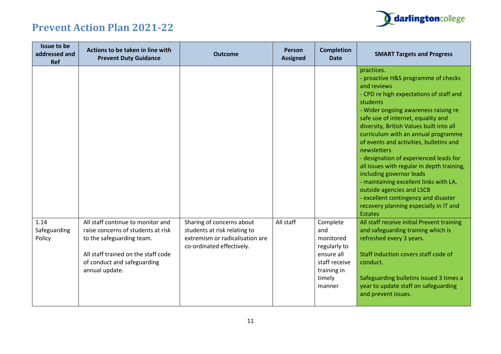

| Issue to be<br>addressed and<br><b>Ref</b> | Actions to be taken in line with<br><b>Prevent Duty Guidance</b>                                                                                                                             | <b>Outcome</b>                                                                                                            | <b>Person</b><br><b>Assigned</b> | <b>Completion</b><br><b>Date</b>                                                                               | <b>SMART Targets and Progress</b>                                                                                                                                                                                                                                                                                                                                                                                                                                                                                                                                                                                                                                                                                                                                                                                                                                                                                             |
|--------------------------------------------|----------------------------------------------------------------------------------------------------------------------------------------------------------------------------------------------|---------------------------------------------------------------------------------------------------------------------------|----------------------------------|----------------------------------------------------------------------------------------------------------------|-------------------------------------------------------------------------------------------------------------------------------------------------------------------------------------------------------------------------------------------------------------------------------------------------------------------------------------------------------------------------------------------------------------------------------------------------------------------------------------------------------------------------------------------------------------------------------------------------------------------------------------------------------------------------------------------------------------------------------------------------------------------------------------------------------------------------------------------------------------------------------------------------------------------------------|
| 1.14<br>Safeguarding<br>Policy             | All staff continue to monitor and<br>raise concerns of students at risk<br>to the safeguarding team.<br>All staff trained on the staff code<br>of conduct and safeguarding<br>annual update. | Sharing of concerns about<br>students at risk relating to<br>extremism or radicalisation are<br>co-ordinated effectively. | All staff                        | Complete<br>and<br>monitored<br>regularly to<br>ensure all<br>staff receive<br>training in<br>timely<br>manner | practices.<br>proactive H&S programme of checks<br>and reviews<br>- CPD re high expectations of staff and<br>students<br>- Wider ongoing awareness raising re<br>safe use of internet, equality and<br>diversity, British Values built into all<br>curriculum with an annual programme<br>of events and activities, bulletins and<br>newsletters<br>- designation of experienced leads for<br>all issues with regular in depth training,<br>including governor leads<br>- maintaining excellent links with LA,<br>outside agencies and LSCB<br>- excellent contingency and disaster<br>recovery planning especially in IT and<br><b>Estates</b><br>All staff receive initial Prevent training<br>and safeguarding training which is<br>refreshed every 3 years.<br>Staff induction covers staff code of<br>conduct.<br>Safeguarding bulletins issued 3 times a<br>year to update staff on safeguarding<br>and prevent issues. |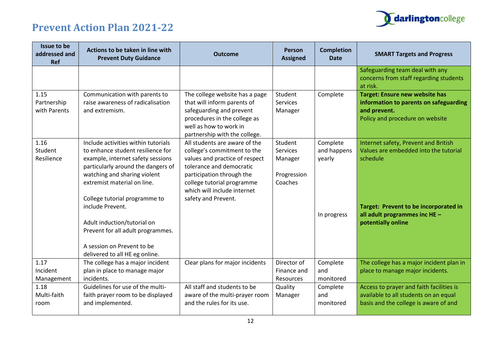

| Issue to be<br>addressed and<br><b>Ref</b> | Actions to be taken in line with<br><b>Prevent Duty Guidance</b>                                                                                                                                                                                                                                                                                                                                            | <b>Outcome</b>                                                                                                                                                                                                                              | Person<br><b>Assigned</b>                                       | <b>Completion</b><br><b>Date</b>                 | <b>SMART Targets and Progress</b>                                                                                                                                                         |
|--------------------------------------------|-------------------------------------------------------------------------------------------------------------------------------------------------------------------------------------------------------------------------------------------------------------------------------------------------------------------------------------------------------------------------------------------------------------|---------------------------------------------------------------------------------------------------------------------------------------------------------------------------------------------------------------------------------------------|-----------------------------------------------------------------|--------------------------------------------------|-------------------------------------------------------------------------------------------------------------------------------------------------------------------------------------------|
|                                            |                                                                                                                                                                                                                                                                                                                                                                                                             |                                                                                                                                                                                                                                             |                                                                 |                                                  | Safeguarding team deal with any<br>concerns from staff regarding students<br>at risk.                                                                                                     |
| 1.15<br>Partnership<br>with Parents        | Communication with parents to<br>raise awareness of radicalisation<br>and extremism.                                                                                                                                                                                                                                                                                                                        | The college website has a page<br>that will inform parents of<br>safeguarding and prevent<br>procedures in the college as<br>well as how to work in<br>partnership with the college.                                                        | Student<br><b>Services</b><br>Manager                           | Complete                                         | <b>Target: Ensure new website has</b><br>information to parents on safeguarding<br>and prevent.<br>Policy and procedure on website                                                        |
| 1.16<br>Student<br>Resilience              | Include activities within tutorials<br>to enhance student resilience for<br>example, internet safety sessions<br>particularly around the dangers of<br>watching and sharing violent<br>extremist material on line.<br>College tutorial programme to<br>include Prevent.<br>Adult induction/tutorial on<br>Prevent for all adult programmes.<br>A session on Prevent to be<br>delivered to all HE eg online. | All students are aware of the<br>college's commitment to the<br>values and practice of respect<br>tolerance and democratic<br>participation through the<br>college tutorial programme<br>which will include internet<br>safety and Prevent. | Student<br><b>Services</b><br>Manager<br>Progression<br>Coaches | Complete<br>and happens<br>yearly<br>In progress | Internet safety, Prevent and British<br>Values are embedded into the tutorial<br>schedule<br>Target: Prevent to be incorporated in<br>all adult programmes inc HE -<br>potentially online |
| 1.17<br>Incident<br>Management             | The college has a major incident<br>plan in place to manage major<br>incidents.                                                                                                                                                                                                                                                                                                                             | Clear plans for major incidents                                                                                                                                                                                                             | Director of<br>Finance and<br>Resources                         | Complete<br>and<br>monitored                     | The college has a major incident plan in<br>place to manage major incidents.                                                                                                              |
| 1.18<br>Multi-faith<br>room                | Guidelines for use of the multi-<br>faith prayer room to be displayed<br>and implemented.                                                                                                                                                                                                                                                                                                                   | All staff and students to be<br>aware of the multi-prayer room<br>and the rules for its use.                                                                                                                                                | Quality<br>Manager                                              | Complete<br>and<br>monitored                     | Access to prayer and faith facilities is<br>available to all students on an equal<br>basis and the college is aware of and                                                                |